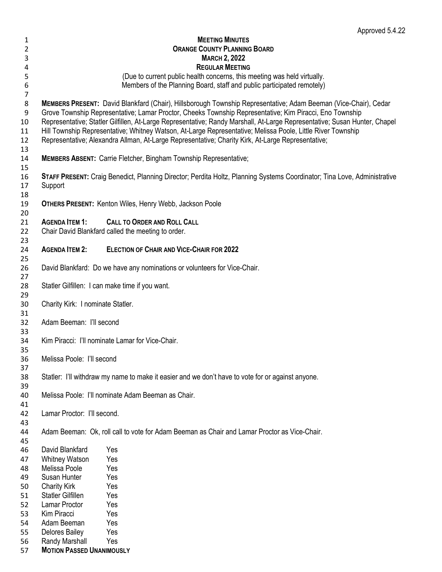|                                               |                                                                                                                                                                                                                                                                                                                                               | Approved 5.4.22                                                                                                                                    |  |  |
|-----------------------------------------------|-----------------------------------------------------------------------------------------------------------------------------------------------------------------------------------------------------------------------------------------------------------------------------------------------------------------------------------------------|----------------------------------------------------------------------------------------------------------------------------------------------------|--|--|
| 1                                             |                                                                                                                                                                                                                                                                                                                                               | <b>MEETING MINUTES</b>                                                                                                                             |  |  |
| 2                                             |                                                                                                                                                                                                                                                                                                                                               | <b>ORANGE COUNTY PLANNING BOARD</b>                                                                                                                |  |  |
| 3                                             |                                                                                                                                                                                                                                                                                                                                               | <b>MARCH 2, 2022</b>                                                                                                                               |  |  |
| 4                                             | <b>REGULAR MEETING</b>                                                                                                                                                                                                                                                                                                                        |                                                                                                                                                    |  |  |
| 5<br>$\boldsymbol{6}$                         |                                                                                                                                                                                                                                                                                                                                               | (Due to current public health concerns, this meeting was held virtually.<br>Members of the Planning Board, staff and public participated remotely) |  |  |
| $\overline{7}$<br>$\,8\,$<br>$\boldsymbol{9}$ | MEMBERS PRESENT: David Blankfard (Chair), Hillsborough Township Representative; Adam Beeman (Vice-Chair), Cedar<br>Grove Township Representative; Lamar Proctor, Cheeks Township Representative; Kim Piracci, Eno Township                                                                                                                    |                                                                                                                                                    |  |  |
| 10<br>11<br>12                                | Representative; Statler Gilfillen, At-Large Representative; Randy Marshall, At-Large Representative; Susan Hunter, Chapel<br>Hill Township Representative; Whitney Watson, At-Large Representative; Melissa Poole, Little River Township<br>Representative; Alexandra Allman, At-Large Representative; Charity Kirk, At-Large Representative; |                                                                                                                                                    |  |  |
| 13                                            |                                                                                                                                                                                                                                                                                                                                               |                                                                                                                                                    |  |  |
| 14<br>15                                      |                                                                                                                                                                                                                                                                                                                                               | <b>MEMBERS ABSENT: Carrie Fletcher, Bingham Township Representative;</b>                                                                           |  |  |
| 16<br>17<br>18                                | Support                                                                                                                                                                                                                                                                                                                                       | STAFF PRESENT: Craig Benedict, Planning Director; Perdita Holtz, Planning Systems Coordinator; Tina Love, Administrative                           |  |  |
| 19<br>20                                      |                                                                                                                                                                                                                                                                                                                                               | <b>OTHERS PRESENT: Kenton Wiles, Henry Webb, Jackson Poole</b>                                                                                     |  |  |
| 21                                            | <b>AGENDA ITEM 1:</b>                                                                                                                                                                                                                                                                                                                         | <b>CALL TO ORDER AND ROLL CALL</b>                                                                                                                 |  |  |
| 22<br>23                                      |                                                                                                                                                                                                                                                                                                                                               | Chair David Blankfard called the meeting to order.                                                                                                 |  |  |
| 24<br>25                                      | <b>AGENDA ITEM 2:</b>                                                                                                                                                                                                                                                                                                                         | <b>ELECTION OF CHAIR AND VICE-CHAIR FOR 2022</b>                                                                                                   |  |  |
| 26<br>27                                      |                                                                                                                                                                                                                                                                                                                                               | David Blankfard: Do we have any nominations or volunteers for Vice-Chair.                                                                          |  |  |
| 28<br>29                                      |                                                                                                                                                                                                                                                                                                                                               | Statler Gilfillen: I can make time if you want.                                                                                                    |  |  |
| 30<br>31                                      | Charity Kirk: I nominate Statler.                                                                                                                                                                                                                                                                                                             |                                                                                                                                                    |  |  |
| 32<br>33                                      | Adam Beeman: I'll second                                                                                                                                                                                                                                                                                                                      |                                                                                                                                                    |  |  |
| 34<br>35                                      | Kim Piracci: I'll nominate Lamar for Vice-Chair.                                                                                                                                                                                                                                                                                              |                                                                                                                                                    |  |  |
| 36<br>37                                      | Melissa Poole: I'll second                                                                                                                                                                                                                                                                                                                    |                                                                                                                                                    |  |  |
| 38<br>39                                      |                                                                                                                                                                                                                                                                                                                                               | Statler: I'll withdraw my name to make it easier and we don't have to vote for or against anyone.                                                  |  |  |
| 40<br>41                                      | Melissa Poole: I'll nominate Adam Beeman as Chair.                                                                                                                                                                                                                                                                                            |                                                                                                                                                    |  |  |
| 42<br>43                                      | Lamar Proctor: I'll second.                                                                                                                                                                                                                                                                                                                   |                                                                                                                                                    |  |  |
| 44<br>45                                      |                                                                                                                                                                                                                                                                                                                                               | Adam Beeman: Ok, roll call to vote for Adam Beeman as Chair and Lamar Proctor as Vice-Chair.                                                       |  |  |
| 46                                            | David Blankfard                                                                                                                                                                                                                                                                                                                               | Yes                                                                                                                                                |  |  |
| 47                                            | <b>Whitney Watson</b>                                                                                                                                                                                                                                                                                                                         | Yes                                                                                                                                                |  |  |
| 48                                            | Melissa Poole                                                                                                                                                                                                                                                                                                                                 | Yes                                                                                                                                                |  |  |
| 49                                            | Susan Hunter                                                                                                                                                                                                                                                                                                                                  | Yes                                                                                                                                                |  |  |
| 50                                            | <b>Charity Kirk</b>                                                                                                                                                                                                                                                                                                                           | Yes                                                                                                                                                |  |  |
| 51                                            | Statler Gilfillen                                                                                                                                                                                                                                                                                                                             | Yes                                                                                                                                                |  |  |
| 52                                            | Lamar Proctor                                                                                                                                                                                                                                                                                                                                 | Yes                                                                                                                                                |  |  |
| 53                                            | Kim Piracci                                                                                                                                                                                                                                                                                                                                   | Yes                                                                                                                                                |  |  |
| 54                                            | Adam Beeman                                                                                                                                                                                                                                                                                                                                   | Yes                                                                                                                                                |  |  |
| 55                                            | Delores Bailey                                                                                                                                                                                                                                                                                                                                | Yes                                                                                                                                                |  |  |
| 56                                            | Randy Marshall                                                                                                                                                                                                                                                                                                                                | Yes                                                                                                                                                |  |  |
| 57                                            | <b>MOTION PASSED UNANIMOUSLY</b>                                                                                                                                                                                                                                                                                                              |                                                                                                                                                    |  |  |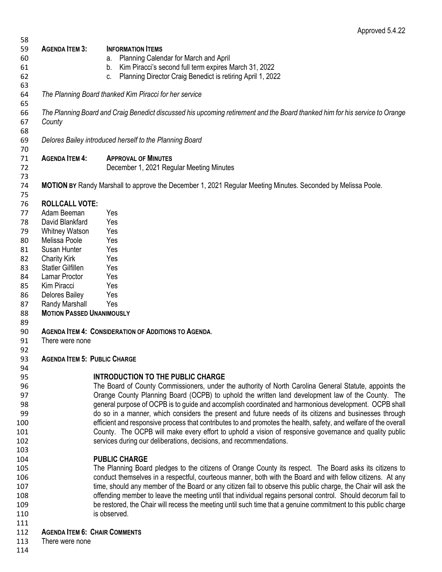| 58  |                                                 |                                                                                                                             |
|-----|-------------------------------------------------|-----------------------------------------------------------------------------------------------------------------------------|
| 59  | <b>AGENDA ITEM 3:</b>                           | <b>INFORMATION ITEMS</b>                                                                                                    |
| 60  |                                                 | a. Planning Calendar for March and April                                                                                    |
| 61  |                                                 | b. Kim Piracci's second full term expires March 31, 2022                                                                    |
| 62  |                                                 | Planning Director Craig Benedict is retiring April 1, 2022<br>C.                                                            |
| 63  |                                                 |                                                                                                                             |
| 64  |                                                 | The Planning Board thanked Kim Piracci for her service                                                                      |
| 65  |                                                 |                                                                                                                             |
| 66  |                                                 | The Planning Board and Craig Benedict discussed his upcoming retirement and the Board thanked him for his service to Orange |
| 67  | County                                          |                                                                                                                             |
| 68  |                                                 |                                                                                                                             |
| 69  |                                                 | Delores Bailey introduced herself to the Planning Board                                                                     |
| 70  |                                                 |                                                                                                                             |
| 71  | <b>AGENDA ITEM 4:</b>                           | <b>APPROVAL OF MINUTES</b>                                                                                                  |
| 72  |                                                 | December 1, 2021 Regular Meeting Minutes                                                                                    |
| 73  |                                                 |                                                                                                                             |
| 74  |                                                 | <b>MOTION BY</b> Randy Marshall to approve the December 1, 2021 Regular Meeting Minutes. Seconded by Melissa Poole.         |
| 75  |                                                 |                                                                                                                             |
| 76  | <b>ROLLCALL VOTE:</b>                           |                                                                                                                             |
| 77  | Adam Beeman                                     | Yes                                                                                                                         |
| 78  | David Blankfard                                 | Yes                                                                                                                         |
| 79  | <b>Whitney Watson</b>                           | Yes                                                                                                                         |
| 80  | Melissa Poole                                   | Yes                                                                                                                         |
|     | Susan Hunter                                    | Yes                                                                                                                         |
| 81  |                                                 |                                                                                                                             |
| 82  | <b>Charity Kirk</b><br><b>Statler Gilfillen</b> | Yes                                                                                                                         |
| 83  |                                                 | Yes                                                                                                                         |
| 84  | Lamar Proctor                                   | Yes                                                                                                                         |
| 85  | Kim Piracci                                     | Yes                                                                                                                         |
| 86  | Delores Bailey                                  | Yes                                                                                                                         |
| 87  | Randy Marshall                                  | Yes                                                                                                                         |
| 88  | <b>MOTION PASSED UNANIMOUSLY</b>                |                                                                                                                             |
| 89  |                                                 |                                                                                                                             |
| 90  |                                                 | <b>AGENDA ITEM 4: CONSIDERATION OF ADDITIONS TO AGENDA.</b>                                                                 |
| 91  | There were none                                 |                                                                                                                             |
| 92  |                                                 |                                                                                                                             |
| 93  | <b>AGENDA ITEM 5: PUBLIC CHARGE</b>             |                                                                                                                             |
| 94  |                                                 |                                                                                                                             |
| 95  |                                                 | <b>INTRODUCTION TO THE PUBLIC CHARGE</b>                                                                                    |
| 96  |                                                 | The Board of County Commissioners, under the authority of North Carolina General Statute, appoints the                      |
| 97  |                                                 | Orange County Planning Board (OCPB) to uphold the written land development law of the County. The                           |
| 98  |                                                 | general purpose of OCPB is to guide and accomplish coordinated and harmonious development. OCPB shall                       |
| 99  |                                                 | do so in a manner, which considers the present and future needs of its citizens and businesses through                      |
| 100 |                                                 | efficient and responsive process that contributes to and promotes the health, safety, and welfare of the overall            |
| 101 |                                                 | County. The OCPB will make every effort to uphold a vision of responsive governance and quality public                      |
| 102 |                                                 | services during our deliberations, decisions, and recommendations.                                                          |
| 103 |                                                 |                                                                                                                             |
| 104 |                                                 | <b>PUBLIC CHARGE</b>                                                                                                        |
| 105 |                                                 | The Planning Board pledges to the citizens of Orange County its respect. The Board asks its citizens to                     |
| 106 |                                                 | conduct themselves in a respectful, courteous manner, both with the Board and with fellow citizens. At any                  |
| 107 |                                                 | time, should any member of the Board or any citizen fail to observe this public charge, the Chair will ask the              |
| 108 |                                                 | offending member to leave the meeting until that individual regains personal control. Should decorum fail to                |
| 109 |                                                 | be restored, the Chair will recess the meeting until such time that a genuine commitment to this public charge              |
| 110 |                                                 | is observed.                                                                                                                |
| 111 |                                                 |                                                                                                                             |
| 112 | <b>AGENDA ITEM 6: CHAIR COMMENTS</b>            |                                                                                                                             |
|     |                                                 |                                                                                                                             |

- There were none
-